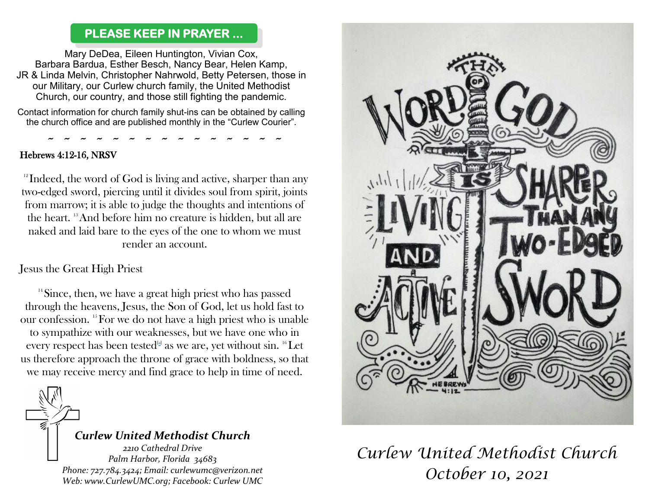### **PLEASE KEEP IN PRAYER ...**

Mary DeDea, Eileen Huntington, Vivian Cox, Barbara Bardua, Esther Besch, Nancy Bear, Helen Kamp, JR & Linda Melvin, Christopher Nahrwold, Betty Petersen, those in our Military, our Curlew church family, the United Methodist Church, our country, and those still fighting the pandemic.

Contact information for church family shut-ins can be obtained by calling the church office and are published monthly in the "Curlew Courier".

~ ~ ~ ~ ~ ~ ~ ~ ~ ~ ~ ~ ~ ~ ~

#### Hebrews 4:12-16, NRSV

 $12$  Indeed, the word of God is living and active, sharper than any two-edged sword, piercing until it divides soul from spirit, joints from marrow; it is able to judge the thoughts and intentions of the heart. <sup>13</sup>And before him no creature is hidden, but all are naked and laid bare to the eyes of the one to whom we must render an account.

Jesus the Great High Priest

 $14$ Since, then, we have a great high priest who has passed through the heavens, Jesus, the Son of God, let us hold fast to our confession. <sup>15</sup>For we do not have a high priest who is unable to sympathize with our weaknesses, but we have one who in every respect has been tested $A^{[a]}$  as we are, yet without sin.  ${}^{16}\mathrm{Let}$ us therefore approach the throne of grace with boldness, so that we may receive mercy and find grace to help in time of need.



### *Curlew United Methodist Church*

*2210 Cathedral Drive Palm Harbor, Florida 34683 Phone: 727.784.3424; Email: curlewumc@verizon.net Web: www.CurlewUMC.org; Facebook: Curlew UMC*



# *Curlew United Methodist Church October 10, 2021*